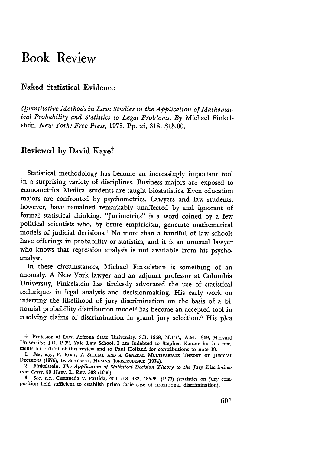## **Book Review**

## Naked Statistical Evidence

*Quantitative Methods in Law: Studies in the Application of Mathematical Probability and Statistics to Legal Problems. By* Michael Finkelstein. *New York: Free Press,* 1978. Pp. xi, 318. \$15.00.

## Reviewed **by** David Kayet

Statistical methodology has become an increasingly important tool in a surprising variety of disciplines. Business majors are exposed to econometrics. Medical students are taught biostatistics. Even education majors are confronted by psychometrics. Lawyers and law students, however, have remained remarkably unaffected by and ignorant of formal statistical thinking. "Jurimetrics" is a word coined by a few political scientists who, by brute empiricism, generate mathematical models of judicial decisions.' No more than a handful of law schools have offerings in probability or statistics, and it is an unusual lawyer who knows that regression analysis is not available from his psychoanalyst.

In these circumstances, Michael Finkelstein is something of an anomaly. A New York lawyer and an adjunct professor at Columbia University, Finkelstein has tirelessly advocated the use of statistical techniques in legal analysis and decisionmaking. His early work on inferring the likelihood of jury discrimination on the basis of a binomial probability distribution model2 has become an accepted tool in resolving claims of discrimination in grand jury selection.3 His plea

<sup>†</sup> Professor of Law, Arizona State University. S.B. 1968, M.I.T.; A.M. 1969, Harvard University; J.D. 1972, Yale Law School. I am indebted to Stephen Kanter for his comments on a draft of this review and to Paul Holland for

*I. See, e.g.,* F. KORT, **A SPECIAL AND A GENERAL** MULTIVARIATE THEORY OF JUDICIAL **DECISIONS (1976); G.** SCHUBERT, **HUMAN JURISPRUDENCE** (1974).

<sup>2.</sup> Finkelstein, *The Application of Statistical Decision Theory to the Jury Discrimination Cases,* 80 HARV. L. REv. **338** (1966).

*<sup>3.</sup> See, e.g.,* Castaneda v. Partida, 430 U.S. 482, 485-99 (1977) (statistics on jury com- position held sufficient to establish prima facie case of intentional discrimination).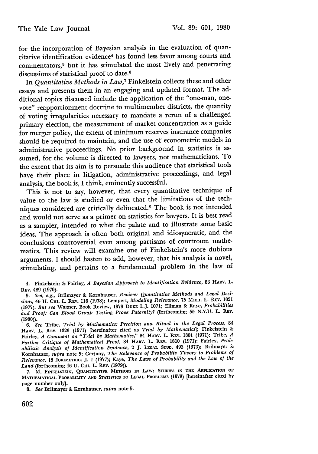for the incorporation of Bayesian analysis in the evaluation of quantitative identification evidence4 has found less favor among courts and commentators,<sup>5</sup> but it has stimulated the most lively and penetrating discussions of statistical proof to date.<sup>6</sup>

In *Quantitative Methods in Law,7* Finkelstein collects these and other essays and presents them in an engaging and updated format. The additional topics discussed include the application of the "one-man, onevote" reapportionment doctrine to multimember districts, the quantity of voting irregularities necessary to mandate a rerun of a challenged primary election, the measurement of market concentration as a guide for merger policy, the extent of minimum reserves insurance companies should be required to maintain, and the use of econometric models in administrative proceedings. No prior background in statistics is assumed, for the volume is directed to lawyers, not mathematicians. To the extent that its aim is to persuade this audience that statistical tools have their place in litigation, administrative proceedings, and legal analysis, the book is, I think, eminently successful.

This is not to say, however, that every quantitative technique of value to the law is studied or even that the limitations of the techniques considered are critically delineated.8 The book is not intended and would not serve as a primer on statistics for lawyers. It is best read as a sampler, intended to whet the palate and to illustrate some basic ideas. The approach is often both original and idiosyncratic, and the conclusions controversial even among partisans of courtroom mathematics. This review will examine one of Finkelstein's more dubious arguments. I should hasten to add, however, that his analysis is novel, stimulating, and pertains to a fundamental problem in the law of

4. Finkelstein & Fairley, *A Bayesian Approach to Identification Evidence,* 83 **HARV.** L. REV. 489 (1970).

*5. See, e.g.,* Brilmayer & Kornhauser, *Review: Quantitative Methods and Legal Decisions,* 46 U. CHI. L. REV. 116 (1978); Lempert, *Modeling Relevance,* 75 MICH. L. REv. 1021 (1977). *But see* Wagner, Book Review, 1979 **DuKE** L.J. 1071; Ellman & Kaye, *Probabilities and Proof: Can Blood Group Testing Prove Paternity?* (forthcoming **55** N.Y.U. L. REv. (1980)).

*6. See* Tribe, *Trial by Mathematics: Precision and Ritual in the Legal Process,* <sup>84</sup> HARV. L. **REV.** 1329 (1971) [hereinafter cited as *Trial by Mathematics];* Finkelstein & Fairley, *A* Comment on "Trial by Mathematics," 84 HARV. L. REV. 1801 (1971); Tribe, *A Further Critique of Mathematical Proof,* <sup>84</sup>**HARV.** L. REV. 1810 (1971); Fairley, *Probabilistic Analysis of Identification Evidence,* 2 J. **LEGAL STUD.** 493 (1973); Brilmayer **&** Kornhauser, *supra* note **5;** Gerjuoy, *The Relevance of Probability Theory to Problems of Relevance,* 18 **JURIMETRICS** J. 1 (1977); Kaye, *The Laws of Probability and the Law of the Land* (forthcoming 46 U. CHI. L. REv. (1979)).

**7.** M. **FINKELSTEIN, QUANTITATIVE METHODS IN LAW: STUDIES IN THE APPLICATION OF MATHEMATICAL PROBABILITY AND STATISTICS TO LEGAL PROBLEMS (1978)** [hereinafter cited **by** page number only].

**8.** *See* Brilmayer & Kornhauser, *supra* note **5.**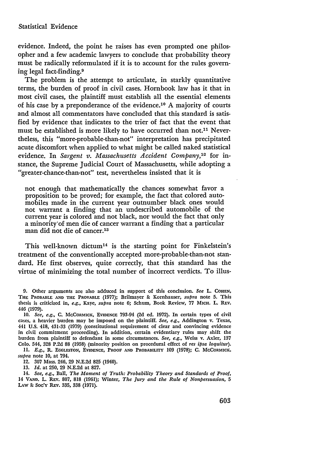evidence. Indeed, the point he raises has even prompted one philosopher and a few academic lawyers to conclude that probability theory must be radically reformulated if it is to account for the rules governing legal fact-finding.<sup>9</sup>

The problem is the attempt to articulate, in starkly quantitative terms, the burden of proof in civil cases. Hornbook law has it that in most civil cases, the plaintiff must establish all the essential elements of his case by a preponderance of the evidence.<sup>10</sup> A majority of courts and almost all commentators have concluded that this standard is satisfied by evidence that indicates to the trier of fact that the event that must be established is more likely to have occurred than not.<sup>11</sup> Nevertheless, this "more-probable-than-not" interpretation has precipitated acute discomfort when applied to what might be called naked statistical evidence. In *Sargent v. Massachusetts Accident Company*,<sup>12</sup> for instance, the Supreme Judicial Court of Massachusetts, while adopting a "greater-chance-than-not" test, nevertheless insisted that it is

not enough that mathematically the chances somewhat favor a proposition to be proved; for example, the fact that colored automobiles made in the current year outnumber black ones would not warrant a finding that an undescribed automobile of the current year is colored and not black, nor would the fact that only a minority'of men die of cancer warrant a finding that a particular man did not die of cancer.13

This well-known dictum<sup>14</sup> is the starting point for Finkelstein's treatment of the conventionally accepted more-probable-than-not standard. He first observes, quite correctly, that this standard has the virtue of minimizing the total number of incorrect verdicts. To illus-

*supra* note **10,** at 794.

12. 307 Mass. 246, **29** N.E.2d **825** (1940).

13. *Id.* at 250, **29** N.E.2d at 827.

14. *See,* e.g., Ball, *The Moment of Truth: Probability Theory and Standards of Proof,* 14 **VAND.** L. REv. 807, 818 (1961); Winter, *The Jury and the Rule of Nonpersuasion, 5* **LAw & SoC'Y REv.** 335, **338** (1971).

**<sup>9.</sup>** Other arguments are also adduced in support of this conclusion. *See* L. COHEN, **THE PROBABLE AND THE PROVABLE (1977);** Brilmayer **&** Kornhauser, *supra* **note 5.** This thesis is criticized in, *e.g.,* **Kaye,** *supra* note **6;** Schum, Book Review, **77 MICH.** L. REV. *446* **(1979).**

**<sup>10.</sup>** *See, e.g.,* **C.** MCCORMICK, EVIDENCE **793-94 (2d ed. 1972).** In certain types of civil cases, a heavier burden may be imposed on the plaintiff. *See, e.g.,* Addington v. Texas, 441 **U.S.** 418, 431-33 **(1979)** (constitutional requirement of clear and convincing evidence in civil commitment proceeding). In addition, certain evidentiary rules may shift the burden from plaintiff to defendant in some circumstances. *See, e.g.,* Weiss v. Axler, **137 Colo.** 544, **328 P.2d 88 (1958)** (minority position on procedural effect of *res ipsa loquitur).* **11.** *E.g.,* R. **EGGLESTON, EVIDENCE, PROOF AND PROBABILITY 109 (1978); C. MCCORMICK**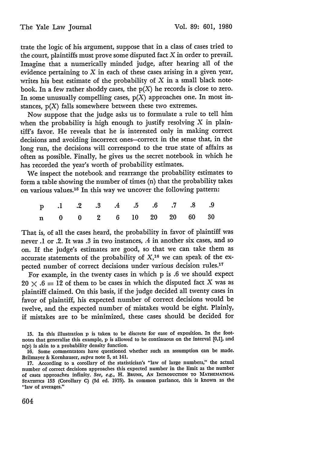trate the logic of his argument, suppose that in a class of cases tried to the court, plaintiffs must prove some disputed fact  $X$  in order to prevail. Imagine that a numerically minded judge, after hearing all of the evidence pertaining to  $X$  in each of these cases arising in a given year, writes his best estimate of the probability of  $X$  in a small black notebook. In a few rather shoddy cases, the  $p(X)$  he records is close to zero. In some unusually compelling cases,  $p(X)$  approaches one. In most instances,  $p(X)$  falls somewhere between these two extremes.

Now suppose that the judge asks us to formulate a rule to tell him when the probability is high enough to justify resolving  $X$  in plaintiff's favor. He reveals that he is interested only in making correct decisions and avoiding incorrect ones-correct in the sense that, in the long run, the decisions will correspond to the true state of affairs as often as possible. Finally, he gives us the secret notebook in which he has recorded the year's worth of probability estimates.

We inspect the notebook and rearrange the probability estimates to form a table showing the number of times (n) that the probability takes on various values. 15 In this way we uncover the following pattern:

|  |  |  |  | p .1 .2 .3 .4 .5 .6 .7 .8 .9 |  |
|--|--|--|--|------------------------------|--|
|  |  |  |  | n 0 0 2 6 10 20 20 60 30     |  |

That is, of all the cases heard, the probability in favor of plaintiff was never .1 or .2. It was .3 in two instances, .4 in another six cases, and so on. If the judge's estimates are good, so that we can take them as accurate statements of the probability of  $X<sup>16</sup>$  we can speak of the expected number of correct decisions under various decision rules.<sup>17</sup>

For example, in the twenty cases in which p is .6 we should expect  $20 \times .6 = 12$  of them to be cases in which the disputed fact X was as plaintiff claimed. On this basis, if the judge decided all twenty cases in favor of plaintiff, his expected number of correct decisions would be twelve, and the expected number of mistakes would be eight. Plainly, if mistakes are to be minimized, these cases should be decided for

15. In this illustration p is taken to be discrete for ease of exposition. In the footnotes that generalize this example, p is allowed to be continuous on the interval [0,1], and n(p) is akin to a probability density function.

16. Some commentators have questioned whether such an assumption can be made. Brilmayer & Kornhauser, *supra* note 5, at 141.

**17.** According to a corollary of the statistician's "law of large numbers," the actual number of correct decisions approaches this expected number in the limit as the number of cases approaches infinity. *See, e.g.,* H. **BRUNK, AN INTRODUCTION TO MATHEMATICAL STATisTics 153 (Corollary C) (3d** ed. 1975). In common parlance, this is known as the "law of averages."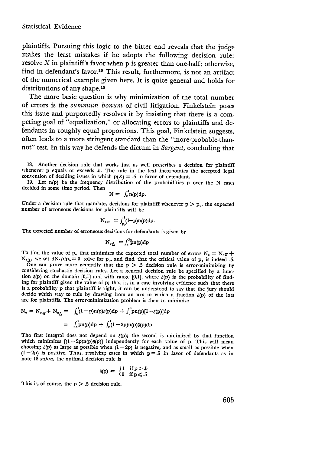plaintiffs. Pursuing this logic to the bitter end reveals that the judge makes the least mistakes if he adopts the following decision rule: resolve  $X$  in plaintiff's favor when  $p$  is greater than one-half; otherwise, find in defendant's favor.<sup>18</sup> This result, furthermore, is not an artifact of the numerical example given here. It is quite general and holds for distributions of any shape.<sup>19</sup>

The more basic question is why minimization of the total number of errors is the *summum bonum* of civil litigation. Finkelstein poses this issue and purportedly resolves it by insisting that there is a competing goal of "equalization," or allocating errors to plaintiffs and defendants in roughly equal proportions. This goal, Finkelstein suggests, often leads to a more stringent standard than the "more-probable-thannot" test. In this way he defends the dictum in *Sargent,* concluding that

**18.** Another decision rule that works just as well prescribes a decision for plaintiff whenever p equals or exceeds **.5.** The rule in the text incorporates the accepted legal convention of deciding issues in which  $p(X) = .5$  in favor of defendant.

**19.** Let n(p) **be** the frequency distribution of the probabilities p over the N cases decided in some time period. Then

$$
N = \int_0^{\cdot} n(p) dp.
$$

Under a decision rule that mandates decisions for plaintiff whenever  $p > p<sub>o</sub>$ , the expected number of erroneous decisions for plaintiffs will be

$$
N_{\rm e\,T} = \int_{P_0}^1 (I-p) n(p) dp.
$$

The expected number of erroneous decisions for defendants is given by

$$
N_{\rm e}{}_{\Delta}{} = \int_0^{P_0} p n(p) dp
$$

To find the value of  $p_o$  that minimizes the expected total number of errors  $N_e = N_{e\pi} +$  $N_{\epsilon\Delta}$ , we set  $dN_{\epsilon}/dp_{\circ} = 0$ , solve for  $p_{\circ}$ , and find that the critical value of  $p_{\circ}$  is indeed .5.

One can prove more generally that the  $p > 0.5$  decision rule is error-minimizing by considering stochastic decision rules. Let a general decision rule be specified by a function  $\delta(p)$  on the domain [0,1] and with range [0,1], where  $\delta(p)$  is the probability of finding for plaintiff given the value of p; that is, in a case involving evidence such that there is a probability p that plaintiff is right, it can be understood to say that the jury should decide which way to rule by drawing from an urn in which a fraction  $\delta(p)$  of the lots are for plaintiffs. The error-minimization problem is then to minimize

$$
N_0 = N_{o_{\pi}} + N_{o_{\Delta}} = \int_o^1 (I - p) n(p) \delta(p) dp + \int_o^1 p n(p) [1 - \delta(p)] dp
$$
  
=  $\int_o^1 p n(p) dp + \int_o^1 (I - 2p) n(p) \delta(p) dp$ 

The first integral does not depend on  $\delta(p)$ ; the second is minimized by that function which minimizes  $[(1 - 2p)n(p)\delta(p)]$  independently for each value of p. This will mean choosing  $\delta(p)$  as large as possible when  $(1 - 2p)$  is negative, and as small as possible when  $(1-2p)$  is positive. Thus, resolving cases in which  $p = .5$  in favor of defendants as in note **18** supra, the optimal decision rule is

$$
\delta(p) = \begin{cases} 1 & \text{if } p > .5 \\ 0 & \text{if } p \leqslant .5 \end{cases}
$$

This is, of course, the  $p > .5$  decision rule.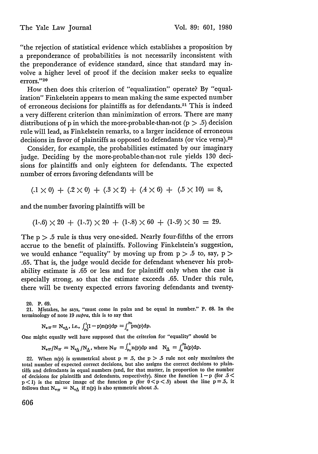"the rejection of statistical evidence which establishes a proposition by a preponderance of probabilities is not necessarily inconsistent with the preponderance of evidence standard, since that standard may involve a higher level of proof if the decision maker seeks to equalize errors."<sup>20</sup>

How then does this criterion of "equalization" operate? **By** "equalization" Finkelstein appears to mean making the same expected number of erroneous decisions for plaintiffs as for defendants.<sup>21</sup> This is indeed a very different criterion than minimization of errors. There are many distributions of p in which the more-probable-than-not  $(p > .5)$  decision rule will lead, as Finkelstein remarks, to a larger incidence of erroneous decisions in favor of plaintiffs as opposed to defendants (or vice versa).<sup>22</sup>

Consider, for example, the probabilities estimated by our imaginary judge. Deciding by the more-probable-than-not rule yields 130 decisions for plaintiffs and only eighteen for defendants. The expected number of errors favoring defendants will be

 $(0.1 \times 0) + (0.2 \times 0) + (0.3 \times 2) + (0.4 \times 6) + (0.5 \times 10) = 8$ 

and the number favoring plaintiffs will be

 $(1-.6) \times 20 + (1-.7) \times 20 + (1-.8) \times 60 + (1-.9) \times 30 = 29.$ 

The  $p > 0.5$  rule is thus very one-sided. Nearly four-fifths of the errors accrue to the benefit of plaintiffs. Following Finkelstein's suggestion, we would enhance "equality" by moving up from  $p > .5$  to, say,  $p >$ .65. That is, the judge would decide for defendant whenever his probability estimate is .65 or less and for plaintiff only when the case is especially strong, so that the estimate exceeds .65. Under this rule, there will be twenty expected errors favoring defendants and twenty-

20. P. **69.**

21. Mistakes, he says, "must come in pairs and be equal in number." P. **68.** In the terminology of note 19 *supra,* this is to say that

 $N_{\text{e}} \pi = N_{\text{e}\Delta}$ , i.e.,  $\int_{\text{p0}}^{1} (1-p)\text{n}(p)dp = \int_{0}^{\text{p0}} \text{p} \text{n}(p)dp$ .

One might equally well have supposed that the criterion for "equality" should be

 $N_{\text{eff}}/N_{\pi} = N_{\text{eff}}/N_{\Delta}$ , where  $N_{\pi} = \int_{\text{p}_0}^{1} n(p) dp$  and  $N_{\Delta} = \int_{\text{p}_0}^{p_0} n(p) dp$ .

22. When  $n(p)$  is symmetrical about  $p = 0.5$ , the  $p > 0.5$  rule not only maximizes the total number of expected correct decisions, but also assigns the correct decisions to plain. tiffs and defendants in equal numbers (and, for that matter, in proportion to the number of decisions for plaintiffs and defendants, respectively). Since the function  $1 - p$  (for .5 <  $p < 1$ ) is the mirror image of the function p (for  $0 < p < .5$ ) about the line  $p = .5$ , it follows that  $N_{\text{eq}} = N_{\text{eq}}$  if n(p) is also symmetric about .5.

**606**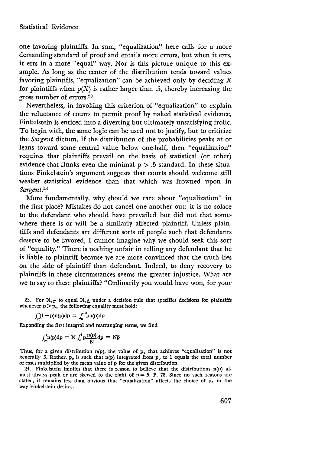one favoring plaintiffs. In sum, "equalization" here calls for a more demanding standard of proof and entails more errors, but when it errs, it errs in a more "equal" way. Nor is this picture unique to this example. As long as the center of the distribution tends toward values favoring plaintiffs, "equalization" can be achieved only by deciding  $X$ for plaintiffs when  $p(X)$  is rather larger than .5, thereby increasing the gross number of errors.<sup>23</sup>

Nevertheless, in invoking this criterion of "equalization" to explain the reluctance of courts to permit proof by naked statistical evidence, Finkelstein is enticed into a diverting but ultimately unsatisfying frolic. To begin with, the same logic can be used not to justify, but to criticize the *Sargent* dictum. If the distribution of the probabilities peaks at or leans toward some central value below one-half, then "equalization" requires that plaintiffs prevail on the basis of statistical (or other) evidence that flunks even the minimal  $p > .5$  standard. In these situations Finkelstein's argument suggests that courts should welcome still weaker statistical evidence than that which was frowned upon in Sargent.24

More fundamentally, why should we care about "equalization" in the first place? Mistakes do not cancel one another out: it is no solace to the defendant who should have prevailed but did not that somewhere there is or will be a similarly affected plaintiff. Unless plaintiffs and defendants are different sorts of people such that defendants deserve to be favored, I cannot imagine why we should seek this sort of "equality." There is nothing unfair in telling any defendant that he is liable to plaintiff because we are more convinced that the truth lies on the side of plaintiff than defendant. Indeed, to deny recovery to plaintiffs in these circumstances seems the greater injustice. What are we to say to these plaintiffs? "Ordinarily you would have won, for your

23. For  $N_{\text{e}}\pi$  to equal  $N_{\text{e}}\Delta$  under a decision rule that specifies decisions for plaintiffs whenever  $p > p_o$ , the following equality must hold:

$$
\int_{P_0}^{1} (1-p)n(p)dp = \int_0^{P_0} pn(p)dp
$$

Expanding the first integral and rearranging terms, we find

$$
\int_{P_0}^1 n(p) dp = N \int_0^1 p \frac{n(p)}{N} dp = N \bar{p}
$$

Thus, for a given distribution n(p), the value of **p.** that achieves "equalization" is not generally .5. Rather, **p.** is such that n(p) integrated from **p.** to **1** equals the total number of cases multiplied by the mean value of p for the given distribution.

24. Finkelstein implies that there is reason to believe that the distributions n(p) almost always peak or are skewed to the right of  $p = 5$ . P. 78. Since no such reasons are stated, it remains less than obvious that "equalization" affects the choice of  $\mathbf{p}_{0}$  in the way Finkelstein desires.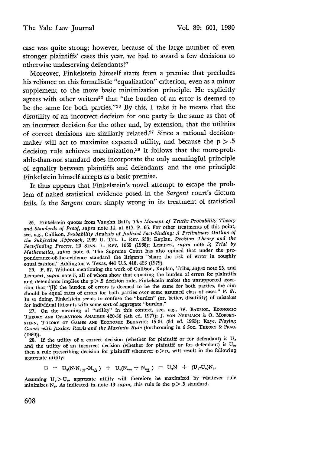case was quite strong; however, because of the large number of even stronger plaintiffs' cases this year, we had to award a few decisions to otherwise undeserving defendants!"

Moreover, Finkelstein himself starts from a premise that precludes his reliance on this formalistic "equalization" criterion, even as a minor supplement to the more basic minimization principle. He explicitly agrees with other writers<sup>25</sup> that "the burden of an error is deemed to be the same for both parties."<sup>26</sup> By this, I take it he means that the disutility of an incorrect decision for one party is the same as that of an incorrect decision for the other and, by extension, that the utilities of correct decisions are similarly related.27 Since a rational decisionmaker will act to maximize expected utility, and because the  $p > .5$ decision rule achieves maximization,<sup>28</sup> it follows that the more-probable-than-not standard does incorporate the only meaningful principle of equality between plaintiffs and defendants-and the one principle Finkelstein himself accepts as a basic premise.

It thus appears that Finkelstein's novel attempt to escape the problem of naked statistical evidence posed in the *Sargent* court's dictum fails. Is the *Sargent* court simply wrong in its treatment of statistical

25. Finkelstein quotes from Vaughn Ball's *The Moment of Truth: Probability Theory and Standards of Proof, supra* note 14, at 817. P. 66. For other treatments of this point, see, e.g., Cullison, *Probability Analysis of Judicial Fact-Finding: A Preliminary Outline of the Subjective Approach,* 1969 U. TOL. L. REv. 538; Kaplan, *Decision Theory and the Fact-finding Process,* 20 **STAN.** L. REV. 1065 (1968); Lempert, *supra* note 5; *Trial by Mathematics, supra* note 6. The Supreme Court has also opined that under the preponderance-of-the-evidence standard the litigants "share the risk of error in roughly equal fashion." Addington v. Texas, 441 U.S. 418, 423 (1979).

26. P. 67. Without mentioning the work of Cullison, Kaplan, Tribe, *supra* note 25, and Lempert, *supra* note 5, all of whom show that equating the burden of errors for plaintiffs and defendants implies the  $p > .5$  decision rule, Finkelstein makes the unsupported assertion that "[i]f the burden of errors is deemed to be the same for both parties, the aim should be equal rates of errors for both parties over some assumed class of cases." P. 67. In so doing, Finkelstein seems to confuse the "burden" (or, better, disutility) of mistakes for individual litigants with some sort of aggregate "burden."

27. On the meaning of "utility" in this context, see, e.g., W. **BAUMOL, ECONOMIC** THEORY **AND** OPERATIONS ANALYSIS 420-36 (4th ed. 1977); J. **VON NEUMANN & 0. MORGEN-STERN, THEORY** OF **GAMES AND ECONOMIC** BEHAVIOR **15-31** (3d **ed.** 1955); Kaye, *Playing Games with Justice: Rawls and the Maximin Rule* (forthcoming **in 6** Soc. **THEORY & PRAC. (1980)).**

28. If the utility of a correct decision (whether for plaintiff or for defendant) is **U,** and the utility of an incorrect decision (whether for plaintiff or for defendant) is **U,,** then a rule prescribing decision for plaintiff whenever  $p > p_0$  will result in the following aggregate utility:

 $U = U_c(N-N_{\circ \pi} - N_{\circ \Delta}) + U_c(N_{\circ \pi} + N_{\circ \Delta}) = U_cN + (U_c - U_c)N_c.$ 

Assuming  $U_c > U_e$ , aggregate utility will therefore be maximized by whatever rule minimizes  $N_e$ . As indicated in note 19 *supra*, this rule is the  $p > 0.5$  standard.

608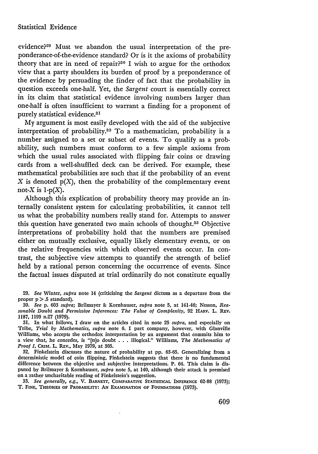evidence?209 Must we abandon the usual interpretation of the preponderance-of-the-evidence standard? Or is it the axioms of probability theory that are in need of repair?30 I wish to argue for the orthodox view that a party shoulders its burden of proof by a preponderance of the evidence by persuading the finder of fact that the probability in question exceeds one-half. Yet, the Sargent court is essentially correct in its claim that statistical evidence involving numbers larger than one-half is often insufficient to warrant a finding for a proponent of purely statistical evidence.<sup>31</sup>

My argument is most easily developed with the aid of the subjective interpretation of probability. 32 To a mathematician, probability is a number assigned to a set or subset of events. To qualify as a probability, such numbers must conform to a few simple axioms from which the usual rules associated with flipping fair coins or drawing cards from a well-shuffled deck can be derived. For example, these mathematical probabilities are such that if the probability of an event  $X$  is denoted  $p(X)$ , then the probability of the complementary event not-X is  $1-p(X)$ .

Although this explication of probability theory may provide an internally consistent system for calculating probabilities, it cannot tell us what the probability numbers really stand for. Attempts to answer this question have generated two main schools of thought.33 Objective interpretations of probability hold that the numbers are premised either on mutually exclusive, equally likely elementary events, or on the relative frequencies with which observed events occur. In contrast, the subjective view attempts to quantify the strength of belief held by a rational person concerning the occurrence of events. Since the factual issues disputed at trial ordinarily do not constitute equally

29. *See* Winter, *supra* note 14 (criticizing the *Sargent* dictum as a departure from the proper  $p > .5$  standard).

- *30. See* p. 603 *supra;* Brilmayer **&** Kornhauser, *supra* note 5, at 141-46; Nesson, *Rea*sonable Doubt and Permissive Inferences: The Value of Complexity, 92 HARV. L. REV. 1187, 1199 n.27 (1979).
- 31. In what follows, I draw on the articles cited in note 25 *supra,* and especially on Tribe, *Trial by Mathematics, supra* note 6. I part company, however, with Glanville Williams, who accepts the orthodox interpretation by an argument that commits him to a view that, he concedes, is "[n]o doubt **. .** . illogical." Williams, *The Mathematics of Proof I, CRIM. L. REV., May 1979, at 305.*

**32.** Finkelstein discusses the nature of probability at pp. 63-65. Generalizing from a deterministic model of coin flipping, Finkelstein suggests that there is no fundamental difference between the objective and subjective interpretations. P. 64. This claim is disputed by Brilmayer **&-** Kornhauser, *supra* note 5, at 140, although their attack is premised on a rather uncharitable reading of Finkelstein's suggestion.

*33. See generally, e.g.,* V. **BARNETr, COmPARATIVE STATISTICAL INFERENCE 62-88 (1973);** T. **FINE, THEORIES OF PROBABILITY: AN EXAMINATION OF FOUNDATIONS** (1973).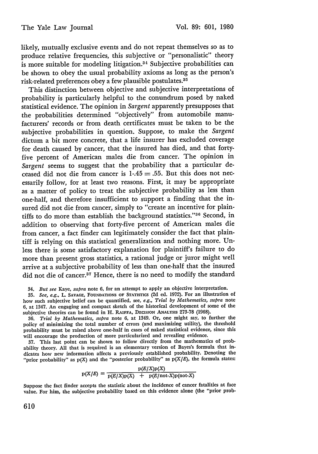likely, mutually exclusive events and do not repeat themselves so as to produce relative frequencies, this subjective or "personalistic" theory is more suitable for modeling litigation.34 Subjective probabilities can be shown to obey the usual probability axioms as long as the person's risk-related preferences obey a few plausible postulates. <sup>35</sup>

This distinction between objective and subjective interpretations of probability is particularly helpful to the conundrum posed by naked statistical evidence. The opinion in *Sargent* apparently presupposes that the probabilities determined "objectively" from automobile manufacturers' records or from death certificates must be taken to be the subjective probabilities in question. Suppose, to make the *Sargent* dictum a bit more concrete, that a life insurer has excluded coverage for death caused by cancer, that the insured has died, and that fortyfive percent of American males die from cancer. The opinion in *Sargent* seems to suggest that the probability that a particular deceased did not die from cancer is 1-.45 **=** .55. But this does not necessarily follow, for at least two reasons. First, it may be appropriate as a matter of policy to treat the subjective probability as less than one-half, and therefore insufficient to support a finding that the insured did not die from cancer, simply to "create an incentive for plaintiffs to do more than establish the background statistics."<sup>36</sup> Second, in addition to observing that forty-five percent of American males die from cancer, a fact finder can legitimately consider the fact that plaintiff is relying on this statistical generalization and nothing more. Unless there is some satisfactory explanation for plaintiff's failure to do more than present gross statistics, a rational judge or juror might well arrive at a subjective probability of less than one-half that the insured did not die of cancer.<sup>37</sup> Hence, there is no need to modify the standard

34. *But see Kaye, sutra* note 6, for an attempt to apply an objective interpretation.

**35.** *See, e.g.,* L. **SAVAGE, FOUNDATIONS** OF STATIsrIcs **(2d** ed. 1972). For an illustration of how such subjective belief can be quantified, see, e.g., Trial by Mathematics, supra note **6,** at 1347. An engaging and compact sketch of the historical development of some of the subjective theories can be found in H. RAIFFA, DECISION ANALYSIS **273-78 (1968).**

*36. Trial by Mathematics, supra* note **6,** at 1349. Or, one might say, to further the policy of minimizing the total number of errors (and maximizing utility), the threshold probability must be raised above one-half in cases of naked statistical evidence, since this will encourage the production of more particularized and revealing evidence.

**37.** This last point can be shown to follow directly from the mathematics of probability theory. **All** that is required is an elementary version of Bayes's formula that indicates how new information affects a previously established probability. Denoting the "prior probability" as  $p(X)$  and the "posterior probability" as  $p(X|E)$ , the formula states:

$$
p(X/E) = \frac{p(E/X)p(X)}{p(E/X)p(X) + p(E/not-X)p(not-X)}
$$

Suppose the fact finder accepts the statistic about the incidence of cancer fatalities at face value. For him, the subjective probability based on this evidence alone (the "prior prob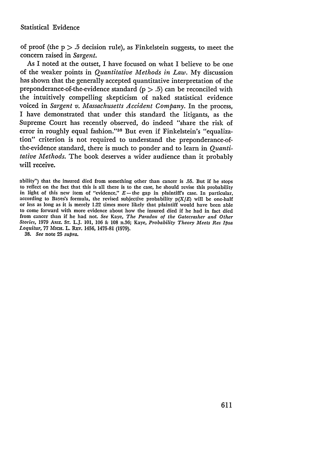of proof (the  $p > .5$  decision rule), as Finkelstein suggests, to meet the concern raised in *Sargent.*

As I noted at the outset, I have focused on what I believe to be one of the weaker points in *Quantitative Methods in Law.* My discussion has shown that the generally accepted quantitative interpretation of the preponderance-of-the-evidence standard  $(p > .5)$  can be reconciled with the intuitively compelling skepticism of naked statistical evidence voiced in *Sargent v. Massachusetts Accident Company.* In the process, I have demonstrated that under this standard the litigants, as the Supreme Court has recently observed, do indeed "share the risk of error in roughly equal fashion." 38 But even if Finkelstein's "equalization" criterion is not required to understand the preponderance-ofthe-evidence standard, there is much to ponder and to learn in *Quantitative Methods.* The book deserves a wider audience than it probably will receive.

ability") that the insured died from something other than cancer is .55. But if he stops to reflect on the fact that this is all there is to the case, he should revise this probability in light of this new item of "evidence,"  $E$  - the gap in plaintiff's case. In particular, according to Bayes's formula, the revised subjective probability  $p(X/E)$  will be one-half or less as long as it is merely 1.22 times more likely that plaintiff would have been able to come forward with more evidence about how the insured died if he had in fact died from cancer than if he had not. *See* Kaye, *The Paradox of the Gatecrasher and Other Stories,* 1979 ARIz. **ST.** L.J. 101, 106 & 108 n.36; Kaye, *Probability Theory Meets Res Ipsa* Loquitur, 77 MICH. L. REV. 1456, 1475-81 (1979).

38. *See* note 25 *supra.*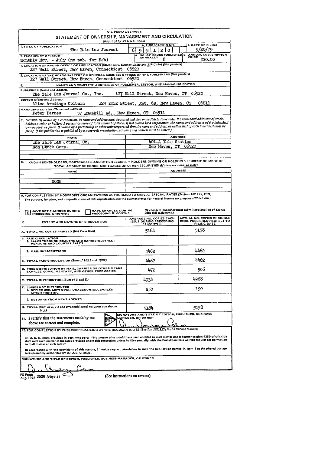| STATEMENT OF OWNERSHIP, MANAGEMENT AND CIRCULATION                                                                                                                                                                                                                                                                                                                                                                                                                                                                                                           | U.S. POSTAL SERVICE<br>(Required by 39 U.S.C. 3685)                          |                                                                                   |  |  |  |  |  |  |
|--------------------------------------------------------------------------------------------------------------------------------------------------------------------------------------------------------------------------------------------------------------------------------------------------------------------------------------------------------------------------------------------------------------------------------------------------------------------------------------------------------------------------------------------------------------|------------------------------------------------------------------------------|-----------------------------------------------------------------------------------|--|--|--|--|--|--|
| <b>I. TITLE OF PUBLICATION</b><br>The Yale Law Journal                                                                                                                                                                                                                                                                                                                                                                                                                                                                                                       | PUBLICATION NO<br>6<br>q<br>5<br>2 I<br>o<br>ı                               | 2. DATE OF FILING<br>9/20/79                                                      |  |  |  |  |  |  |
| 3. FREQUENCY OF ISSUE<br>monthly Nov. - July (no pub. for Feb)                                                                                                                                                                                                                                                                                                                                                                                                                                                                                               | А.<br>ANNUALLY<br>8                                                          | NO. OF ISSUES PUBLISHED B. ANNUAL SUBSCRIPTION<br>20.00                           |  |  |  |  |  |  |
| 4. LOCATION OF KNOWN OFFICE OF PUBLICATION (Street, City, County, State ana ZIP Code) (Not printers)<br>127 Wall Street, New Haven, Connecticut 06520                                                                                                                                                                                                                                                                                                                                                                                                        |                                                                              |                                                                                   |  |  |  |  |  |  |
| 5. LOCATION OF THE HEADQUARTERS OR GENERAL BUSINESS OFFICES OF THE PUBLISHERS (Not printers)<br>127 Wall Street, New Haven, Connecticut<br>06520                                                                                                                                                                                                                                                                                                                                                                                                             |                                                                              |                                                                                   |  |  |  |  |  |  |
| NAMES AND COMPLETE ADDRESSES OF PUBLISHER, EDITOR, AND MANAGING EDITOR<br>6,                                                                                                                                                                                                                                                                                                                                                                                                                                                                                 |                                                                              |                                                                                   |  |  |  |  |  |  |
| PUBLISHER (Name and Address)<br>127 Wall Street, New Haven, CT 06520<br>The Yale Law Journal Co., Inc.                                                                                                                                                                                                                                                                                                                                                                                                                                                       |                                                                              |                                                                                   |  |  |  |  |  |  |
| <b>EDITOR</b> (Name and Address)<br>06511<br>123 York Street, Apt. 6B, New Haven, CT<br>Alice Armitage Colburn                                                                                                                                                                                                                                                                                                                                                                                                                                               |                                                                              |                                                                                   |  |  |  |  |  |  |
| MANAGING EDITOR (Name and Address)<br>Peter Barnes                                                                                                                                                                                                                                                                                                                                                                                                                                                                                                           | 57 Edgehill Rd., New Haven, CT 06511                                         |                                                                                   |  |  |  |  |  |  |
| 7. OWNER (If owned by a corporation, its name and address must be stated and also immediately thereunder the names and addresses of stock-<br>holders owning or holding 1 percent or more of total amount of stock. If not owned by a corporation, the names and addresses of it e individual<br>owners must be given. If owned by a partnership or other unincorporated firm, its name and address, as well as that of each individual must be<br>ewing. If the publication is published by a nonprofit organization, its name and address must be stated.) |                                                                              |                                                                                   |  |  |  |  |  |  |
| <b>NAME</b><br>The Yale Law Journal Co.                                                                                                                                                                                                                                                                                                                                                                                                                                                                                                                      | 401-A Yale Station                                                           | <b>ADDRESS</b>                                                                    |  |  |  |  |  |  |
| Non Stock Corp.                                                                                                                                                                                                                                                                                                                                                                                                                                                                                                                                              |                                                                              | New Haven, CT<br>06520                                                            |  |  |  |  |  |  |
|                                                                                                                                                                                                                                                                                                                                                                                                                                                                                                                                                              |                                                                              |                                                                                   |  |  |  |  |  |  |
| KNOWN BONDHOLDERS, MORTGAGEES, AND OTHER SECURITY HOLDERS OWNING OR HOLDING 1 PERCENT OR MORE OF<br>TOTAL AMOUNT OF BONDS, MORTGAGES OR OTHER SECURITIES (If there are none, so state)                                                                                                                                                                                                                                                                                                                                                                       |                                                                              |                                                                                   |  |  |  |  |  |  |
| <b>NAME</b>                                                                                                                                                                                                                                                                                                                                                                                                                                                                                                                                                  |                                                                              | <b>ADDRESS</b>                                                                    |  |  |  |  |  |  |
| NONE                                                                                                                                                                                                                                                                                                                                                                                                                                                                                                                                                         |                                                                              |                                                                                   |  |  |  |  |  |  |
|                                                                                                                                                                                                                                                                                                                                                                                                                                                                                                                                                              |                                                                              |                                                                                   |  |  |  |  |  |  |
| 9. FOR COMPLETION BY NONPROFIT ORGANIZATIONS AUTHORIZED TO MAIL AT SPECIAL RATES (Section 132.122, FSM)<br>The purpose, function, and nonprofit status of this organization and the exempt status for Federal income tax purposes (Check one)                                                                                                                                                                                                                                                                                                                |                                                                              |                                                                                   |  |  |  |  |  |  |
|                                                                                                                                                                                                                                                                                                                                                                                                                                                                                                                                                              |                                                                              |                                                                                   |  |  |  |  |  |  |
| <b>HAVE CHANGED DURING</b><br><b>HAVE NOT CHANGED DURING</b><br>X PRECEDING 12 MONTHS<br>PRECEDING 12 MONTHS                                                                                                                                                                                                                                                                                                                                                                                                                                                 |                                                                              | (If changed, publisher must submit explanation of change<br>with this statement.) |  |  |  |  |  |  |
| EXTENT AND NATURE OF CIRCULATION<br>10.                                                                                                                                                                                                                                                                                                                                                                                                                                                                                                                      | AVERAGE NO. COPIES EACH<br><b>ISSUE DURING PRECEDING</b><br><b>12 MONTHS</b> |                                                                                   |  |  |  |  |  |  |
| A. TOTAL NO. COPIES PRINTED (Net Press Run)<br><b>B. PAID CIRCULATION</b>                                                                                                                                                                                                                                                                                                                                                                                                                                                                                    | 5184                                                                         | 5158                                                                              |  |  |  |  |  |  |
| 1. SALES THROUGH DEALERS AND CARRIERS, STREET<br>VENDORS AND COUNTER SALES                                                                                                                                                                                                                                                                                                                                                                                                                                                                                   |                                                                              |                                                                                   |  |  |  |  |  |  |
| 2. MAIL SUBSCRIPTIONS                                                                                                                                                                                                                                                                                                                                                                                                                                                                                                                                        | 4462                                                                         | 4462                                                                              |  |  |  |  |  |  |
| C. TOTAL PAID CIRCULATION (Sum of 10B1 and 10B2)                                                                                                                                                                                                                                                                                                                                                                                                                                                                                                             | 4462                                                                         | 4462                                                                              |  |  |  |  |  |  |
| D. FREE DISTRIBUTION BY MAIL, CARRIER OR OTHER MEANS<br>SAMPLES, COMPLIMENTARY, AND OTHER FREE COPIES                                                                                                                                                                                                                                                                                                                                                                                                                                                        | 472                                                                          | 506                                                                               |  |  |  |  |  |  |
| E. TOTAL DISTRIBUTION (Sum of C and D)                                                                                                                                                                                                                                                                                                                                                                                                                                                                                                                       | 4934                                                                         | 4968                                                                              |  |  |  |  |  |  |
| COPIES NOT DISTRIBUTED<br>1. OFFICE USE, LEFT OVER, UNACCOUNTED, SPOILED<br>AFTER PRINTING                                                                                                                                                                                                                                                                                                                                                                                                                                                                   | 250                                                                          | 190                                                                               |  |  |  |  |  |  |
| 2. RETURNS FROM NEWS AGENTS                                                                                                                                                                                                                                                                                                                                                                                                                                                                                                                                  |                                                                              |                                                                                   |  |  |  |  |  |  |
| G. TOTAL (Sum of E, F1 and 2-should equal net press run shown<br>in A)                                                                                                                                                                                                                                                                                                                                                                                                                                                                                       | 5184                                                                         | 5158                                                                              |  |  |  |  |  |  |
| 11. I certify that the statements made by me<br>above are correct and complete.                                                                                                                                                                                                                                                                                                                                                                                                                                                                              | SIGNATURE AND TITLE OF EDITOR, PUBLISHER, BUSINESS<br>MANAGER, OR OWNER      |                                                                                   |  |  |  |  |  |  |
| 12. FOR COMPLETION BY PUBLISHERS MAILING AT THE REGULAR RATES (Section 182                                                                                                                                                                                                                                                                                                                                                                                                                                                                                   |                                                                              | A Postal Service Manual)                                                          |  |  |  |  |  |  |
| 39 U. S. C. 3626 provides in pertinent part: "No person who would have been entitled to mall matter under former section 4359 of this title<br>shall mall such matter at the retes provided under this subsection unless he files annually with the Postal Service a written request for permission<br>to mall matter at such rates."                                                                                                                                                                                                                        |                                                                              |                                                                                   |  |  |  |  |  |  |
| in accordance with the provisions of this statute, I hereby request permission to mall the publication named in Item 1 at the phased postage<br>rates presently authorized by 39 U.S.C. 3626.                                                                                                                                                                                                                                                                                                                                                                |                                                                              |                                                                                   |  |  |  |  |  |  |
| SIGNATURE AND TITLE OF EDITOR, PUBLISHER, BUSINESS MANAGER, OR OWNER                                                                                                                                                                                                                                                                                                                                                                                                                                                                                         |                                                                              |                                                                                   |  |  |  |  |  |  |
|                                                                                                                                                                                                                                                                                                                                                                                                                                                                                                                                                              |                                                                              | ACTUAL NO. COPIES OF SINGLE<br>ISSUE PUBLISHED NEAREST TO                         |  |  |  |  |  |  |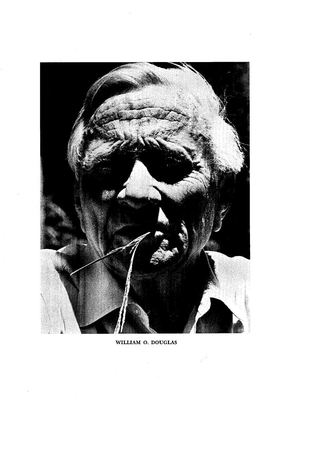

WILLIAM **0. DOUGLAS**

 $\bar{z}$